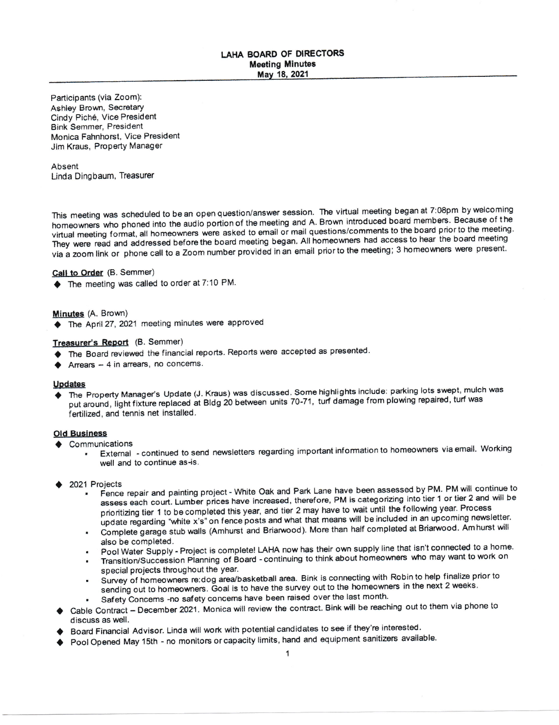# LAHA BOARD OF DIRECTORS Meeting Minutes

Participants (via Zoom): Ashley Brown, Secretary Cindy Pich6, Vice President Bink Semmer, President Monica Fahnhorst, Vice Presideni Jim Kraus, Property Manager

Absent Linda Dingbaum, Treasurer

This meeting was scheduled to be an open question/answer session. The virtual meeting began at 7:08pm by welcoming homeowners who phoned into the audio portion of the meeting and A. Brown introduced board members. Because of the virtual meeting format, all homeowners were asked to email or mail questions/comments to the board prior to the meeting. They were read and addressed before the board meeting began. All homeowners had access to hear the board meeting via a zoom link or phone call to a Zoom number provided in an email priorto the meeting; 3 homeowners were present'

# Call to Order (B. Semmer)

r) Tne meeting was called to order at 7:10 PM.

### Minutes (A. Brown)

◆ The April 27, 2021 meeting minutes were approved

# Treasurer's Report (B. Semmer)

- $\blacklozenge$  The Board reviewed the financial reports. Reports were accepted as presented.
- $\blacktriangleright$  Arrears 4 in arrears, no concerns.

Updates<br>♦ The Property Manager's Update (J. Kraus) was discussed. Some highlights include: parking lots swept, mulch was put around, light fixture replaced at Bldg 20 between units 70-71, turf damage from plowing repaired, turf was fertilized, and tennis net installed.

### Old Business

- $\triangleleft$  Communications
	- External continued to send newsletters regarding important information to homeowners via email. Working well and to continue as-is.
- 2021 Projects
	- . Fence repair and painting project White Oak and Park Lane have been assessed by PM. PM will continue to assess each court. Lumber prices have increased, therefore, PM is categorizing into tier 1 or tier 2 and will be prioritizing tier 1 to be completed this year, and tier 2 may have to wait until the following year. Process update regarding "white x's" on fence posts and what that means will be included in an upcoming newsletter.
	- Complete garage stub walls (Amhurst and Briarwood). More than half completed at Briarwood. Amhurst will also be completed.
	- Pool Water Supply Project is complete! LAHA now has their own supply line that isn't connected to a home.
	- Transition/Succession Planning of Board continuing to think about homeowners who may want to work on special projects throughout the year.
	- . Survey of homeowners re:dog area/basketball area. Bink is connecting with Robin to help finalize prior to sending out to homeowners. Goal is to have the survey out to the homeowners in the next 2 weeks.
	- Safety Concerns -no safety concerns have been raised over the last month.
- Cable Contract December 2021. Monica will review the contract. Bink will be reaching out to them via phone to discuss as well. a
- Board Financial Advisor. Linda will work with potential candidates to see if they're interested. t
- Pool Opened May 15th no monitors or capacity limits, hand and equipment sanitizers available. a